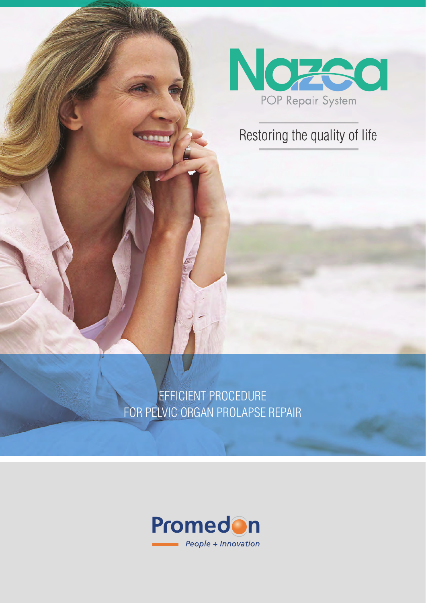

## Restoring the quality of life

EFFICIENT PROCEDURE FOR PELVIC ORGAN PROLAPSE REPAIR

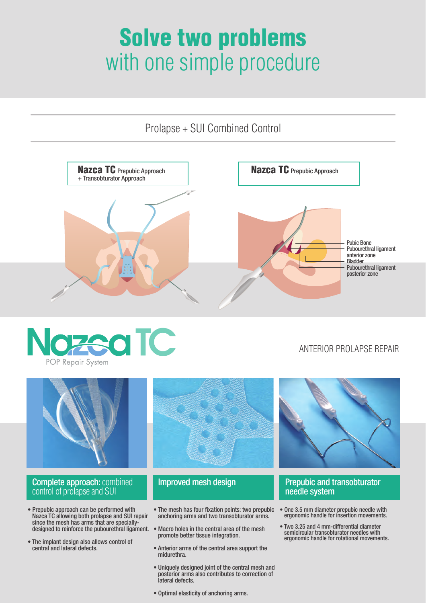# Solve two problems with one simple procedure

Prolapse + SUI Combined Control





#### ANTERIOR PROLAPSE REPAIR



- Prepubic approach can be performed with Nazca TC allowing both prolapse and SUI repair since the mesh has arms that are speciallydesigned to reinforce the pubourethral ligament.
- The implant design also allows control of central and lateral defects.
- The mesh has four fixation points: two prepubic anchoring arms and two transobturator arms.
- Macro holes in the central area of the mesh promote better tissue integration.
- Anterior arms of the central area support the midurethra.
- Uniquely designed joint of the central mesh and posterior arms also contributes to correction of lateral defects.
- Optimal elasticity of anchoring arms.
- needle system
- One 3.5 mm diameter prepubic needle with ergonomic handle for insertion movements.
- Two 3.25 and 4 mm-differential diameter semicircular transobturator needles with ergonomic handle for rotational movements.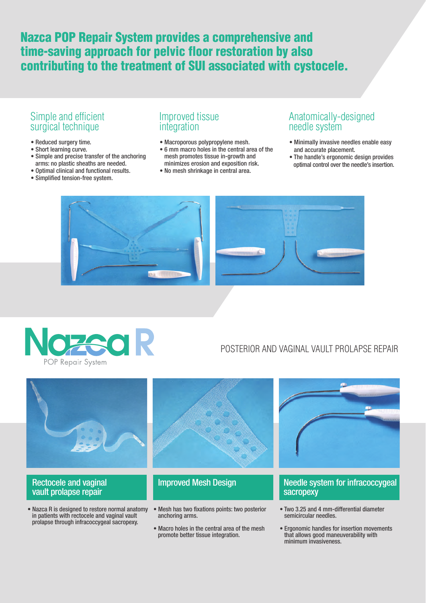### Nazca POP Repair System provides a comprehensive and time-saving approach for pelvic floor restoration by also contributing to the treatment of SUI associated with cystocele.

#### Simple and efficient surgical technique

- Reduced surgery time.
- Short learning curve.
- Simple and precise transfer of the anchoring arms: no plastic sheaths are needed.
- Optimal clinical and functional results.
- Simplified tension-free system.

#### Improved tissue integration

- Macroporous polypropylene mesh.
- 6 mm macro holes in the central area of the mesh promotes tissue in-growth and minimizes erosion and exposition risk.
- No mesh shrinkage in central area.

#### Anatomically-designed needle system

- Minimally invasive needles enable easy and accurate placement.
- The handle's ergonomic design provides optimal control over the needle's insertion.





#### POSTERIOR AND VAGINAL VAULT PROLAPSE REPAIR



- vault prolapse repair in patients with rectocele and vaginal vault
- Nazca R is designed to restore normal anatomy Mesh has two fixations points: two posterior prolapse through infracoccygeal sacropexy. anchoring arms.
	- Macro holes in the central area of the mesh promote better tissue integration.

#### Needle system for infracoccygeal sacropexy

- Two 3.25 and 4 mm-differential diameter semicircular needles.
- Ergonomic handles for insertion movements that allows good maneuverability with minimum invasiveness.